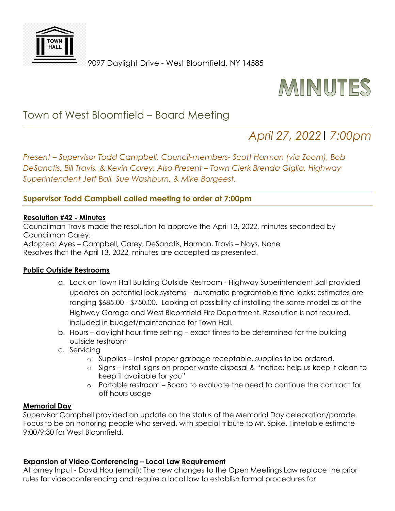

9097 Daylight Drive - West Bloomfield, NY 14585



## Town of West Bloomfield – Board Meeting

# *April 27, 2022*| *7:00pm*

*Present – Supervisor Todd Campbell, Council-members- Scott Harman (via Zoom), Bob DeSanctis, Bill Travis, & Kevin Carey. Also Present – Town Clerk Brenda Giglia, Highway Superintendent Jeff Ball, Sue Washburn, & Mike Borgeest.* 

### **Supervisor Todd Campbell called meeting to order at 7:00pm**

#### **Resolution #42 - Minutes**

Councilman Travis made the resolution to approve the April 13, 2022, minutes seconded by Councilman Carey.

Adopted: Ayes – Campbell, Carey, DeSanctis, Harman, Travis – Nays, None Resolves that the April 13, 2022, minutes are accepted as presented.

#### **Public Outside Restrooms**

- a. Lock on Town Hall Building Outside Restroom Highway Superintendent Ball provided updates on potential lock systems – automatic programable time locks; estimates are ranging \$685.00 - \$750.00. Looking at possibility of installing the same model as at the Highway Garage and West Bloomfield Fire Department. Resolution is not required, included in budget/maintenance for Town Hall.
- b. Hours daylight hour time setting exact times to be determined for the building outside restroom
- c. Servicing
	- o Supplies install proper garbage receptable, supplies to be ordered.
	- o Signs install signs on proper waste disposal & "notice: help us keep it clean to keep it available for you"
	- o Portable restroom Board to evaluate the need to continue the contract for off hours usage

#### **Memorial Day**

Supervisor Campbell provided an update on the status of the Memorial Day celebration/parade. Focus to be on honoring people who served, with special tribute to Mr. Spike. Timetable estimate 9:00/9:30 for West Bloomfield.

#### **Expansion of Video Conferencing – Local Law Requirement**

Attorney Input - Davd Hou (email): The new changes to the Open Meetings Law replace the prior rules for videoconferencing and require a local law to establish formal procedures for